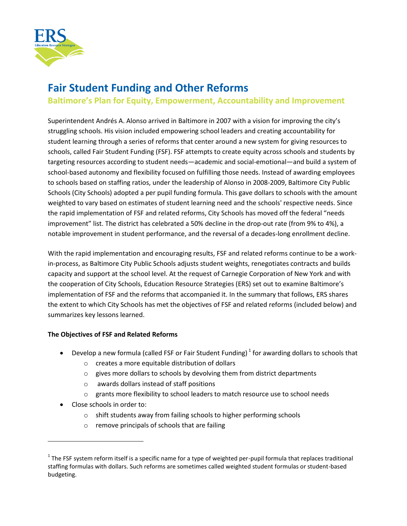

# **Fair Student Funding and Other Reforms**

**Baltimore's Plan for Equity, Empowerment, Accountability and Improvement**

Superintendent Andrés A. Alonso arrived in Baltimore in 2007 with a vision for improving the city's struggling schools. His vision included empowering school leaders and creating accountability for student learning through a series of reforms that center around a new system for giving resources to schools, called Fair Student Funding (FSF). FSF attempts to create equity across schools and students by targeting resources according to student needs—academic and social-emotional—and build a system of school-based autonomy and flexibility focused on fulfilling those needs. Instead of awarding employees to schools based on staffing ratios, under the leadership of Alonso in 2008-2009, Baltimore City Public Schools (City Schools) adopted a per pupil funding formula. This gave dollars to schools with the amount weighted to vary based on estimates of student learning need and the schools' respective needs. Since the rapid implementation of FSF and related reforms, City Schools has moved off the federal "needs improvement" list. The district has celebrated a 50% decline in the drop-out rate (from 9% to 4%), a notable improvement in student performance, and the reversal of a decades-long enrollment decline.

With the rapid implementation and encouraging results, FSF and related reforms continue to be a workin-process, as Baltimore City Public Schools adjusts student weights, renegotiates contracts and builds capacity and support at the school level. At the request of Carnegie Corporation of New York and with the cooperation of City Schools, Education Resource Strategies (ERS) set out to examine Baltimore's implementation of FSF and the reforms that accompanied it. In the summary that follows, ERS shares the extent to which City Schools has met the objectives of FSF and related reforms (included below) and summarizes key lessons learned.

#### **The Objectives of FSF and Related Reforms**

- Develop a new formula (called FSF or Fair Student Funding)<sup>1</sup> for awarding dollars to schools that
	- o creates a more equitable distribution of dollars
	- $\circ$  gives more dollars to schools by devolving them from district departments
	- o awards dollars instead of staff positions
	- o grants more flexibility to school leaders to match resource use to school needs
- Close schools in order to:

 $\overline{\phantom{a}}$ 

- o shift students away from failing schools to higher performing schools
- o remove principals of schools that are failing

 $1$  The FSF system reform itself is a specific name for a type of weighted per-pupil formula that replaces traditional staffing formulas with dollars. Such reforms are sometimes called weighted student formulas or student-based budgeting.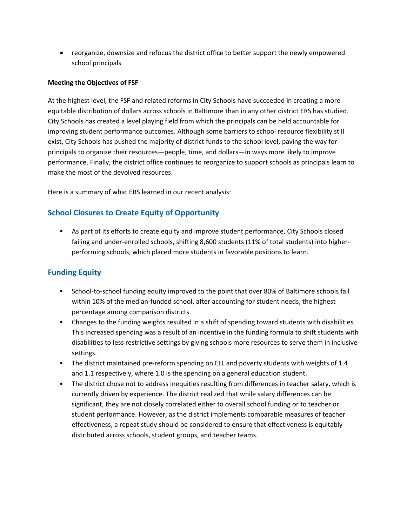reorganize, downsize and refocus the district office to better support the newly empowered school principals

#### **Meeting the Objectives of FSF**

At the highest level, the FSF and related reforms in City Schools have succeeded in creating a more equitable distribution of dollars across schools in Baltimore than in any other district ERS has studied. City Schools has created a level playing field from which the principals can be held accountable for improving student performance outcomes. Although some barriers to school resource flexibility still exist, City Schools has pushed the majority of district funds to the school level, paving the way for principals to organize their resources—people, time, and dollars—in ways more likely to improve performance. Finally, the district office continues to reorganize to support schools as principals learn to make the most of the devolved resources.

Here is a summary of what ERS learned in our recent analysis:

### **School Closures to Create Equity of Opportunity**

 As part of its efforts to create equity and improve student performance, City Schools closed failing and under-enrolled schools, shifting 8,600 students (11% of total students) into higherperforming schools, which placed more students in favorable positions to learn.

## **Funding Equity**

- School-to-school funding equity improved to the point that over 80% of Baltimore schools fall within 10% of the median-funded school, after accounting for student needs, the highest percentage among comparison districts.
- Changes to the funding weights resulted in a shift of spending toward students with disabilities. This increased spending was a result of an incentive in the funding formula to shift students with disabilities to less restrictive settings by giving schools more resources to serve them in inclusive settings.
- The district maintained pre-reform spending on ELL and poverty students with weights of 1.4 and 1.1 respectively, where 1.0 is the spending on a general education student.
- The district chose not to address inequities resulting from differences in teacher salary, which is currently driven by experience. The district realized that while salary differences can be significant, they are not closely correlated either to overall school funding or to teacher or student performance. However, as the district implements comparable measures of teacher effectiveness, a repeat study should be considered to ensure that effectiveness is equitably distributed across schools, student groups, and teacher teams.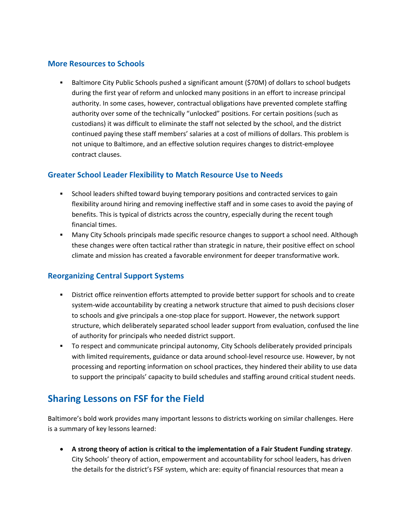#### **More Resources to Schools**

 Baltimore City Public Schools pushed a significant amount (\$70M) of dollars to school budgets during the first year of reform and unlocked many positions in an effort to increase principal authority. In some cases, however, contractual obligations have prevented complete staffing authority over some of the technically "unlocked" positions. For certain positions (such as custodians) it was difficult to eliminate the staff not selected by the school, and the district continued paying these staff members' salaries at a cost of millions of dollars. This problem is not unique to Baltimore, and an effective solution requires changes to district-employee contract clauses.

#### **Greater School Leader Flexibility to Match Resource Use to Needs**

- **School leaders shifted toward buying temporary positions and contracted services to gain** flexibility around hiring and removing ineffective staff and in some cases to avoid the paying of benefits. This is typical of districts across the country, especially during the recent tough financial times.
- Many City Schools principals made specific resource changes to support a school need. Although these changes were often tactical rather than strategic in nature, their positive effect on school climate and mission has created a favorable environment for deeper transformative work.

## **Reorganizing Central Support Systems**

- **•** District office reinvention efforts attempted to provide better support for schools and to create system-wide accountability by creating a network structure that aimed to push decisions closer to schools and give principals a one-stop place for support. However, the network support structure, which deliberately separated school leader support from evaluation, confused the line of authority for principals who needed district support.
- To respect and communicate principal autonomy, City Schools deliberately provided principals with limited requirements, guidance or data around school-level resource use. However, by not processing and reporting information on school practices, they hindered their ability to use data to support the principals' capacity to build schedules and staffing around critical student needs.

# **Sharing Lessons on FSF for the Field**

Baltimore's bold work provides many important lessons to districts working on similar challenges. Here is a summary of key lessons learned:

 **A strong theory of action is critical to the implementation of a Fair Student Funding strategy**. City Schools' theory of action, empowerment and accountability for school leaders, has driven the details for the district's FSF system, which are: equity of financial resources that mean a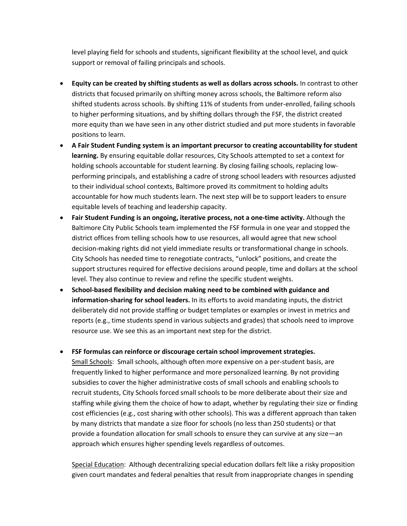level playing field for schools and students, significant flexibility at the school level, and quick support or removal of failing principals and schools.

- **Equity can be created by shifting students as well as dollars across schools.** In contrast to other districts that focused primarily on shifting money across schools, the Baltimore reform also shifted students across schools. By shifting 11% of students from under-enrolled, failing schools to higher performing situations, and by shifting dollars through the FSF, the district created more equity than we have seen in any other district studied and put more students in favorable positions to learn.
- **A Fair Student Funding system is an important precursor to creating accountability for student learning.** By ensuring equitable dollar resources, City Schools attempted to set a context for holding schools accountable for student learning. By closing failing schools, replacing lowperforming principals, and establishing a cadre of strong school leaders with resources adjusted to their individual school contexts, Baltimore proved its commitment to holding adults accountable for how much students learn. The next step will be to support leaders to ensure equitable levels of teaching and leadership capacity.
- **Fair Student Funding is an ongoing, iterative process, not a one-time activity.** Although the Baltimore City Public Schools team implemented the FSF formula in one year and stopped the district offices from telling schools how to use resources, all would agree that new school decision-making rights did not yield immediate results or transformational change in schools. City Schools has needed time to renegotiate contracts, "unlock" positions, and create the support structures required for effective decisions around people, time and dollars at the school level. They also continue to review and refine the specific student weights.
- **School-based flexibility and decision making need to be combined with guidance and information-sharing for school leaders.** In its efforts to avoid mandating inputs, the district deliberately did not provide staffing or budget templates or examples or invest in metrics and reports (e.g., time students spend in various subjects and grades) that schools need to improve resource use. We see this as an important next step for the district.
- **FSF formulas can reinforce or discourage certain school improvement strategies.**  Small Schools: Small schools, although often more expensive on a per-student basis, are frequently linked to higher performance and more personalized learning. By not providing subsidies to cover the higher administrative costs of small schools and enabling schools to recruit students, City Schools forced small schools to be more deliberate about their size and staffing while giving them the choice of how to adapt, whether by regulating their size or finding cost efficiencies (e.g., cost sharing with other schools). This was a different approach than taken by many districts that mandate a size floor for schools (no less than 250 students) or that provide a foundation allocation for small schools to ensure they can survive at any size—an approach which ensures higher spending levels regardless of outcomes.

Special Education: Although decentralizing special education dollars felt like a risky proposition given court mandates and federal penalties that result from inappropriate changes in spending